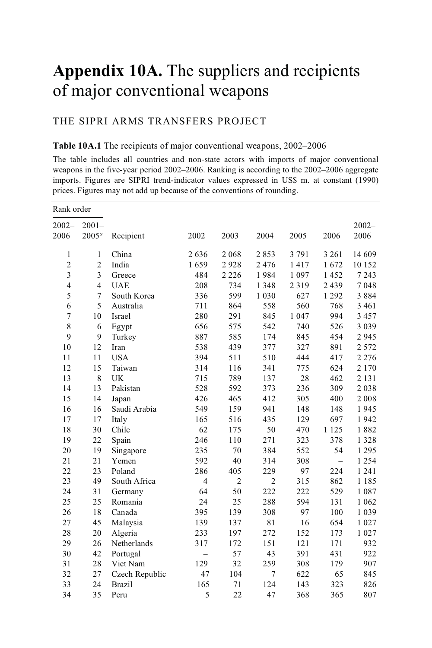# **Appendix 10A.** The suppliers and recipients of major conventional weapons

## THE SIPRI ARMS TRANSFERS PROJECT

#### **Table 10A.1** The recipients of major conventional weapons, 2002–2006

The table includes all countries and non-state actors with imports of major conventional weapons in the five-year period 2002–2006. Ranking is according to the 2002–2006 aggregate imports. Figures are SIPRI trend-indicator values expressed in US\$ m. at constant (1990) prices. Figures may not add up because of the conventions of rounding.

| Rank order       |                      |                |                          |                |                |         |         |                  |
|------------------|----------------------|----------------|--------------------------|----------------|----------------|---------|---------|------------------|
| $2002 -$<br>2006 | $2001 -$<br>$2005^a$ | Recipient      | 2002                     | 2003           | 2004           | 2005    | 2006    | $2002 -$<br>2006 |
| $\mathbf{1}$     | $\mathbf{1}$         | China          | 2636                     | 2 0 6 8        | 2853           | 3 7 9 1 | 3 2 6 1 | 14 609           |
| $\overline{c}$   | $\overline{c}$       | India          | 1659                     | 2928           | 2476           | 1417    | 1672    | 10 152           |
| 3                | 3                    | Greece         | 484                      | 2 2 2 6        | 1984           | 1 0 9 7 | 1452    | 7 2 4 3          |
| 4                | $\overline{4}$       | <b>UAE</b>     | 208                      | 734            | 1 3 4 8        | 2319    | 2 4 3 9 | 7048             |
| 5                | 7                    | South Korea    | 336                      | 599            | 1 0 3 0        | 627     | 1 2 9 2 | 3884             |
| 6                | 5                    | Australia      | 711                      | 864            | 558            | 560     | 768     | 3 4 6 1          |
| 7                | 10                   | Israel         | 280                      | 291            | 845            | 1 0 4 7 | 994     | 3 4 5 7          |
| 8                | 6                    | Egypt          | 656                      | 575            | 542            | 740     | 526     | 3 0 3 9          |
| 9                | 9                    | Turkey         | 887                      | 585            | 174            | 845     | 454     | 2945             |
| 10               | 12                   | Iran           | 538                      | 439            | 377            | 327     | 891     | 2 5 7 2          |
| 11               | 11                   | <b>USA</b>     | 394                      | 511            | 510            | 444     | 417     | 2 2 7 6          |
| 12               | 15                   | Taiwan         | 314                      | 116            | 341            | 775     | 624     | 2 1 7 0          |
| 13               | 8                    | UK             | 715                      | 789            | 137            | 28      | 462     | 2 1 3 1          |
| 14               | 13                   | Pakistan       | 528                      | 592            | 373            | 236     | 309     | 2038             |
| 15               | 14                   | Japan          | 426                      | 465            | 412            | 305     | 400     | 2008             |
| 16               | 16                   | Saudi Arabia   | 549                      | 159            | 941            | 148     | 148     | 1945             |
| 17               | 17                   | Italy          | 165                      | 516            | 435            | 129     | 697     | 1942             |
| 18               | 30                   | Chile          | 62                       | 175            | 50             | 470     | 1 1 2 5 | 1882             |
| 19               | 22                   | Spain          | 246                      | 110            | 271            | 323     | 378     | 1 3 2 8          |
| 20               | 19                   | Singapore      | 235                      | 70             | 384            | 552     | 54      | 1 2 9 5          |
| 21               | 21                   | Yemen          | 592                      | 40             | 314            | 308     | $=$     | 1 2 5 4          |
| 22               | 23                   | Poland         | 286                      | 405            | 229            | 97      | 224     | 1 2 4 1          |
| 23               | 49                   | South Africa   | $\overline{4}$           | $\overline{2}$ | $\overline{2}$ | 315     | 862     | 1 1 8 5          |
| 24               | 31                   | Germany        | 64                       | 50             | 222            | 222     | 529     | 1087             |
| 25               | 25                   | Romania        | 24                       | 25             | 288            | 594     | 131     | 1 0 6 2          |
| 26               | 18                   | Canada         | 395                      | 139            | 308            | 97      | 100     | 1 0 3 9          |
| 27               | 45                   | Malaysia       | 139                      | 137            | 81             | 16      | 654     | 1 0 2 7          |
| 28               | 20                   | Algeria        | 233                      | 197            | 272            | 152     | 173     | 1 0 2 7          |
| 29               | 26                   | Netherlands    | 317                      | 172            | 151            | 121     | 171     | 932              |
| 30               | 42                   | Portugal       | $\overline{\phantom{0}}$ | 57             | 43             | 391     | 431     | 922              |
| 31               | 28                   | Viet Nam       | 129                      | 32             | 259            | 308     | 179     | 907              |
| 32               | 27                   | Czech Republic | 47                       | 104            | 7              | 622     | 65      | 845              |
| 33               | 24                   | <b>Brazil</b>  | 165                      | 71             | 124            | 143     | 323     | 826              |
| 34               | 35                   | Peru           | 5                        | 22             | 47             | 368     | 365     | 807              |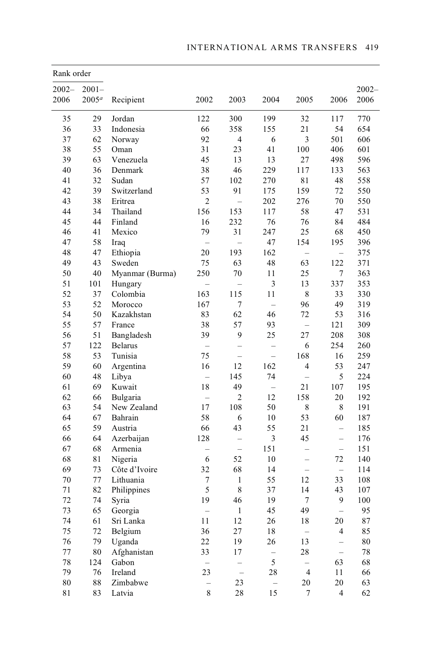| Rank order  |                   |                 |                          |                          |                          |                          |                          |          |
|-------------|-------------------|-----------------|--------------------------|--------------------------|--------------------------|--------------------------|--------------------------|----------|
| $2002 -$    | $2001 -$          |                 |                          |                          |                          |                          |                          | $2002 -$ |
| 2006        | 2005 <sup>a</sup> | Recipient       | 2002                     | 2003                     | 2004                     | 2005                     | 2006                     | 2006     |
| 35          | 29                | Jordan          | 122                      | 300                      | 199                      | 32                       | 117                      | 770      |
| 36          | 33                | Indonesia       | 66                       | 358                      | 155                      | 21                       | 54                       | 654      |
| 37          | 62                | Norway          | 92                       | 4                        | 6                        | 3                        | 501                      | 606      |
| 38          | 55                | Oman            | 31                       | 23                       | 41                       | 100                      | 406                      | 601      |
| 39          | 63                | Venezuela       | 45                       | 13                       | 13                       | 27                       | 498                      | 596      |
| 40          | 36                | Denmark         | 38                       | 46                       | 229                      | 117                      | 133                      | 563      |
| 41          | 32                | Sudan           | 57                       | 102                      | 270                      | 81                       | 48                       | 558      |
| 42          | 39                | Switzerland     | 53                       | 91                       | 175                      | 159                      | 72                       | 550      |
| 43          | 38                | Eritrea         | $\overline{c}$           |                          | 202                      | 276                      | 70                       | 550      |
| 44          | 34                | Thailand        | 156                      | 153                      | 117                      | 58                       | 47                       | 531      |
| 45          | 44                | Finland         | 16                       | 232                      | 76                       | 76                       | 84                       | 484      |
| 46          | 41                | Mexico          | 79                       | 31                       | 247                      | 25                       | 68                       | 450      |
| 47          | 58                | Iraq            |                          |                          | 47                       | 154                      | 195                      | 396      |
| 48          | 47                | Ethiopia        | 20                       | 193                      | 162                      |                          |                          | 375      |
| 49          | 43                | Sweden          | 75                       | 63                       | 48                       | 63                       | 122                      | 371      |
| 50          | 40                | Myanmar (Burma) | 250                      | 70                       | 11                       | 25                       | 7                        | 363      |
| 51          | 101               | Hungary         |                          |                          | 3                        | 13                       | 337                      | 353      |
| 52          | 37                | Colombia        | 163                      | 115                      | 11                       | 8                        | 33                       | 330      |
| 53          | 52                | Morocco         | 167                      | $\overline{7}$           | $\qquad \qquad -$        | 96                       | 49                       | 319      |
| 54          | 50                | Kazakhstan      | 83                       | 62                       | 46                       | 72                       | 53                       | 316      |
| 55          | 57                | France          | 38                       | 57                       | 93                       | $\frac{1}{2}$            | 121                      | 309      |
| 56          | 51                | Bangladesh      | 39                       | 9                        | 25                       | 27                       | 208                      | 308      |
| 57          | 122               | <b>Belarus</b>  | $\overline{\phantom{0}}$ | $\overline{\phantom{0}}$ |                          | 6                        | 254                      | 260      |
| 58          | 53                | Tunisia         | 75                       |                          |                          | 168                      | 16                       | 259      |
| 59          | 60                | Argentina       | 16                       | 12                       | 162                      | 4                        | 53                       | 247      |
| 60          | 48                | Libya           |                          | 145                      | 74                       |                          | 5                        | 224      |
| 61          | 69                | Kuwait          | 18                       | 49                       | $\overline{\phantom{0}}$ | 21                       | 107                      | 195      |
| 62          | 66                | Bulgaria        | $\overline{a}$           | $\overline{2}$           | 12                       | 158                      | 20                       | 192      |
| 63          | 54                | New Zealand     | 17                       | 108                      | 50                       | 8                        | 8                        | 191      |
| 64          | 67                | Bahrain         | 58                       | 6                        | 10                       | 53                       | 60                       | 187      |
| 65          | 59                | Austria         | 66                       | 43                       | 55                       | 21                       | $\equiv$                 | 185      |
| 66          | 64                | Azerbaijan      | 128                      |                          | 3                        | 45                       |                          | 176      |
| 67          | 68                | Armenia         |                          |                          | 151                      |                          | $\frac{1}{2}$            | 151      |
| 68          | 81                | Nigeria         | 6                        | 52                       | 10                       |                          | 72                       | 140      |
| 69          | 73                | Côte d'Ivoire   | 32                       | 68                       | 14                       | $\overline{\phantom{0}}$ | $\equiv$                 | 114      |
| 70          | 77                | Lithuania       | 7                        | 1                        | 55                       | 12                       | 33                       | 108      |
| 71          | 82                | Philippines     | 5                        | 8                        | 37                       | 14                       | 43                       | 107      |
| 72          | 74                | Syria           | 19                       | 46                       | 19                       | 7                        | 9                        | 100      |
| 73          | 65                | Georgia         | $\overline{\phantom{0}}$ | 1                        | 45                       | 49                       | $\overline{\phantom{0}}$ | 95       |
| 74          | 61                | Sri Lanka       | 11                       | 12                       | 26                       | 18                       | $20\,$                   | 87       |
| 75          | 72                | Belgium         | 36                       | 27                       | $1\,8$                   | $\equiv$                 | $\overline{\mathcal{A}}$ | 85       |
| 76          | 79                | Uganda          | 22                       | 19                       | 26                       | 13                       | $\overline{\phantom{0}}$ | $\rm 80$ |
| $77\,$      | $80\,$            | Afghanistan     | 33                       | $17\,$                   | ÷                        | 28                       | $\frac{1}{2}$            | $78\,$   |
| 78          | 124               | Gabon           | $\qquad \qquad -$        |                          | 5                        | $\overline{\phantom{0}}$ | 63                       | 68       |
| 79          | 76                | Ireland         | 23                       | $\frac{1}{2}$            | 28                       | $\overline{4}$           | 11                       | 66       |
| $\bf 80$    | 88                | Zimbabwe        | $\equiv$                 | 23                       | $\equiv$                 | 20                       | $20\,$                   | 63       |
| $8\sqrt{1}$ | 83                | Latvia          | $8\,$                    | $28\,$                   | 15                       | $\boldsymbol{7}$         | $\overline{4}$           | 62       |
|             |                   |                 |                          |                          |                          |                          |                          |          |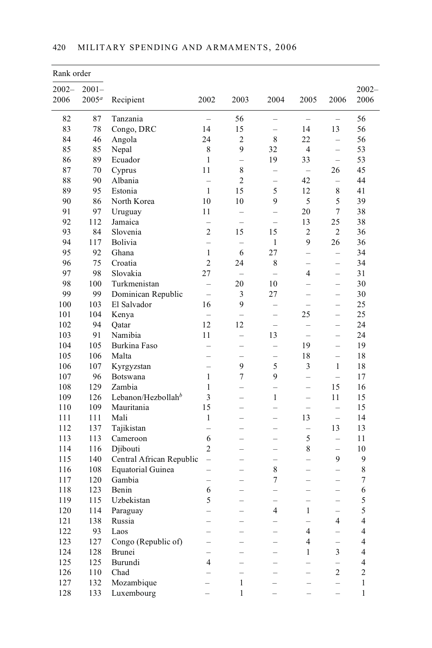| Rank order |                   |                          |                          |                          |                          |                          |                          |                |
|------------|-------------------|--------------------------|--------------------------|--------------------------|--------------------------|--------------------------|--------------------------|----------------|
| $2002 -$   | $2001 -$          |                          |                          |                          |                          |                          |                          | $2002 -$       |
| 2006       | 2005 <sup>a</sup> | Recipient                | 2002                     | 2003                     | 2004                     | 2005                     | 2006                     | 2006           |
| 82         | 87                | Tanzania                 | $\equiv$                 | 56                       | $\overline{\phantom{0}}$ | $\equiv$                 | $=$                      | 56             |
| 83         | 78                | Congo, DRC               | 14                       | 15                       |                          | 14                       | 13                       | 56             |
| 84         | 46                | Angola                   | 24                       | $\overline{c}$           | 8                        | 22                       | $\overline{a}$           | 56             |
| 85         | 85                | Nepal                    | 8                        | 9                        | 32                       | $\overline{4}$           | $\equiv$                 | 53             |
| 86         | 89                | Ecuador                  | $\mathbf{1}$             | $\equiv$                 | 19                       | 33                       | $\overline{\phantom{0}}$ | 53             |
| 87         | 70                | Cyprus                   | 11                       | 8                        | -                        | $\overline{\phantom{m}}$ | 26                       | 45             |
| 88         | 90                | Albania                  | $\overline{\phantom{0}}$ | $\overline{2}$           |                          | 42                       | $\equiv$                 | 44             |
| 89         | 95                | Estonia                  | $\mathbf{1}$             | 15                       | 5                        | 12                       | 8                        | 41             |
| 90         | 86                | North Korea              | 10                       | 10                       | 9                        | 5                        | 5                        | 39             |
| 91         | 97                | Uruguay                  | 11                       | $\overline{\phantom{0}}$ | $\overline{\phantom{0}}$ | 20                       | $\sqrt{ }$               | 38             |
| 92         | 112               | Jamaica                  |                          |                          | $=$                      | 13                       | 25                       | 38             |
| 93         | 84                | Slovenia                 | $\overline{2}$           | 15                       | 15                       | 2                        | $\overline{c}$           | 36             |
| 94         | 117               | <b>Bolivia</b>           |                          |                          | 1                        | 9                        | 26                       | 36             |
| 95         | 92                | Ghana                    | $\mathbf{1}$             | 6                        | 27                       | $\overline{\phantom{0}}$ | $\equiv$                 | 34             |
| 96         | 75                | Croatia                  | $\overline{2}$           | 24                       | 8                        |                          |                          | 34             |
| 97         | 98                | Slovakia                 | 27                       | $=$                      | $\overline{a}$           | 4                        | $\overline{\phantom{0}}$ | 31             |
| 98         | 100               | Turkmenistan             | $\overline{a}$           | 20                       | 10                       |                          | -                        | 30             |
| 99         | 99                | Dominican Republic       | $\equiv$                 | 3                        | 27                       | $\equiv$                 | $\overline{\phantom{0}}$ | 30             |
| 100        | 103               | El Salvador              | 16                       | 9                        |                          |                          |                          | 25             |
| 101        | 104               | Kenya                    | $\equiv$                 | $\overline{\phantom{0}}$ | $\overline{\phantom{0}}$ | 25                       | $\equiv$                 | 25             |
| 102        | 94                | Qatar                    | 12                       | 12                       | $\equiv$                 |                          | -                        | 24             |
| 103        | 91                | Namibia                  | 11                       | $\overline{\phantom{0}}$ | 13                       | $\equiv$                 | $\overline{\phantom{0}}$ | 24             |
| 104        | 105               | Burkina Faso             |                          |                          |                          | 19                       |                          | 19             |
| 105        | 106               | Malta                    |                          |                          |                          | 18                       | $\overline{\phantom{0}}$ | 18             |
| 106        | 107               | Kyrgyzstan               | $\equiv$                 | 9                        | 5                        | 3                        | $\mathbf{1}$             | 18             |
| 107        | 96                | Botswana                 | $\mathbf{1}$             | $\overline{7}$           | 9                        | $\equiv$                 | $\equiv$                 | 17             |
| 108        | 129               | Zambia                   | $\mathbf{1}$             |                          |                          | $\equiv$                 | 15                       | 16             |
| 109        | 126               | Lebanon/Hezbollah $^b$   | 3                        |                          | $\mathbf{1}$             | $\overline{a}$           | 11                       | 15             |
| 110        | 109               | Mauritania               | 15                       |                          |                          | $\overline{\phantom{0}}$ | $\overline{a}$           | 15             |
| 111        | 111               | Mali                     | 1                        | $\overline{\phantom{0}}$ | $\equiv$                 | 13                       | $\equiv$                 | 14             |
| 112        | 137               | Tajikistan               | $\overline{\phantom{0}}$ | $\overline{\phantom{0}}$ | $\equiv$                 | $\overline{\phantom{0}}$ | 13                       | 13             |
| 113        | 113               | Cameroon                 | 6                        |                          |                          | 5                        | $-$                      | 11             |
| 114        | 116               | Djibouti                 | $\overline{2}$           | $\overline{\phantom{0}}$ | $\overline{\phantom{0}}$ | 8                        | -                        | 10             |
| 115        | 140               | Central African Republic | $\overline{\phantom{0}}$ |                          | $\overline{\phantom{0}}$ | $\equiv$                 | 9                        | 9              |
| 116        | 108               | <b>Equatorial Guinea</b> | $\overline{\phantom{0}}$ | $\overline{\phantom{0}}$ | 8                        | $=$                      | $\overline{\phantom{0}}$ | 8              |
| 117        | 120               | Gambia                   |                          |                          | 7                        | $\overline{\phantom{0}}$ | $\overline{\phantom{0}}$ | $\tau$         |
| 118        | 123               | Benin                    | 6                        |                          |                          |                          | $\overline{\phantom{0}}$ | 6              |
| 119        | 115               | Uzbekistan               | 5                        |                          |                          |                          |                          | 5              |
| $120\,$    | 114               | Paraguay                 |                          |                          | $\overline{\mathcal{L}}$ | $\,1$                    |                          | 5              |
| 121        | 138               | Russia                   |                          |                          |                          |                          | $\overline{4}$           | 4              |
| 122        | 93                | Laos                     |                          |                          |                          | $\overline{\mathbf{4}}$  |                          | 4              |
| 123        | 127               | Congo (Republic of)      |                          |                          |                          | $\overline{4}$           |                          | 4              |
| 124        | 128               | Brunei                   |                          |                          |                          | 1                        | 3                        | 4              |
| 125        | 125               | Burundi                  | 4                        |                          |                          |                          |                          | 4              |
| 126        | 110               | Chad                     |                          | $\overline{a}$           |                          |                          | $\mathbf{2}$             | $\overline{c}$ |
| 127        | 132               | Mozambique               |                          | $\mathbf{1}$             |                          |                          |                          | $\mathbf{1}$   |
| 128        | 133               | Luxembourg               |                          | $\,1$                    |                          |                          |                          | $\,1$          |

## 420 MILITARY SPENDING AND ARMAMENTS, 2006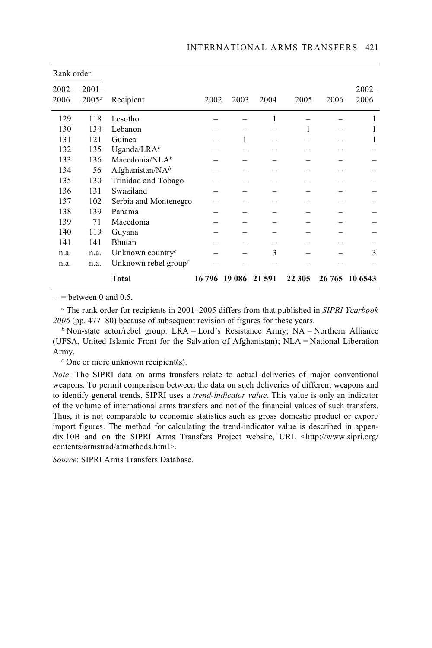| Rank order       |                      |                                  |      |                      |      |        |      |                  |
|------------------|----------------------|----------------------------------|------|----------------------|------|--------|------|------------------|
| $2002 -$<br>2006 | $2001 -$<br>$2005^a$ | Recipient                        | 2002 | 2003                 | 2004 | 2005   | 2006 | $2002 -$<br>2006 |
| 129              | 118                  | Lesotho                          |      |                      |      |        |      |                  |
| 130              | 134                  | Lebanon                          |      |                      |      | 1      |      | 1                |
| 131              | 121                  | Guinea                           |      | 1                    |      |        |      | 1                |
| 132              | 135                  | Uganda/LRA $^b$                  |      |                      |      |        |      |                  |
| 133              | 136                  | Macedonia/NL $A^b$               |      |                      |      |        |      |                  |
| 134              | 56                   | Afghanistan/N $A^b$              |      |                      |      |        |      |                  |
| 135              | 130                  | Trinidad and Tobago              |      |                      |      |        |      |                  |
| 136              | 131                  | Swaziland                        |      |                      |      |        |      |                  |
| 137              | 102                  | Serbia and Montenegro            |      |                      |      |        |      |                  |
| 138              | 139                  | Panama                           |      |                      |      |        |      |                  |
| 139              | 71                   | Macedonia                        |      |                      |      |        |      |                  |
| 140              | 119                  | Guyana                           |      |                      |      |        |      |                  |
| 141              | 141                  | Bhutan                           |      |                      |      |        |      |                  |
| n.a.             | n.a.                 | Unknown country <sup>c</sup>     |      |                      | 3    |        |      | 3                |
| n.a.             | n.a.                 | Unknown rebel group <sup>c</sup> |      |                      |      |        |      |                  |
|                  |                      | Total                            |      | 16 796 19 086 21 591 |      | 22 305 |      | 26 765 10 6543   |

 $=$  = between 0 and 0.5.

*<sup>a</sup>* The rank order for recipients in 2001–2005 differs from that published in *SIPRI Yearbook 2006* (pp. 477–80) because of subsequent revision of figures for these years.

*b* Non-state actor/rebel group: LRA = Lord's Resistance Army; NA = Northern Alliance (UFSA, United Islamic Front for the Salvation of Afghanistan); NLA = National Liberation Army.

*<sup>c</sup>* One or more unknown recipient(s).

*Note*: The SIPRI data on arms transfers relate to actual deliveries of major conventional weapons. To permit comparison between the data on such deliveries of different weapons and to identify general trends, SIPRI uses a *trend-indicator value*. This value is only an indicator of the volume of international arms transfers and not of the financial values of such transfers. Thus, it is not comparable to economic statistics such as gross domestic product or export/ import figures. The method for calculating the trend-indicator value is described in appendix 10B and on the SIPRI Arms Transfers Project website, URL <http://www.sipri.org/ contents/armstrad/atmethods.html>.

*Source*: SIPRI Arms Transfers Database.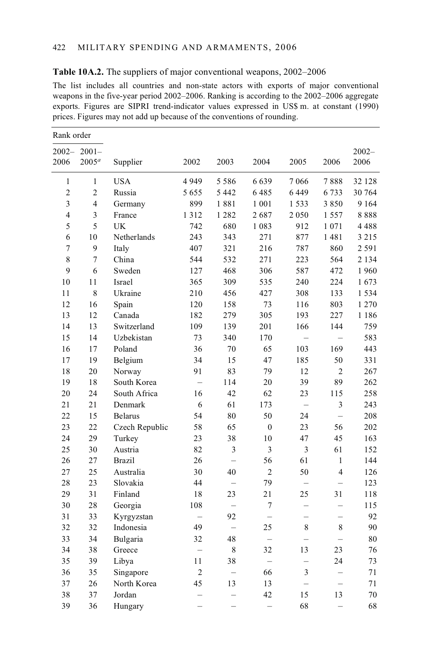| Rank order              |                |                |                   |                          |                          |                          |                          |          |
|-------------------------|----------------|----------------|-------------------|--------------------------|--------------------------|--------------------------|--------------------------|----------|
| $2002 -$                | $2001 -$       |                |                   |                          |                          |                          |                          | $2002 -$ |
| 2006                    | $2005^a$       | Supplier       | 2002              | 2003                     | 2004                     | 2005                     | 2006                     | 2006     |
| $\mathbf{1}$            | $\mathbf{1}$   | <b>USA</b>     | 4949              | 5586                     | 6639                     | 7066                     | 7888                     | 32 128   |
| $\overline{c}$          | $\overline{c}$ | Russia         | 5655              | 5 4 4 2                  | 6485                     | 6449                     | 6733                     | 30 764   |
| 3                       | $\overline{4}$ | Germany        | 899               | 1881                     | 1 0 0 1                  | 1533                     | 3850                     | 9 1 6 4  |
| $\overline{\mathbf{4}}$ | 3              | France         | 1312              | 1 2 8 2                  | 2687                     | 2050                     | 1557                     | 8888     |
| 5                       | 5              | UK             | 742               | 680                      | 1 0 8 3                  | 912                      | 1071                     | 4488     |
| 6                       | 10             | Netherlands    | 243               | 343                      | 271                      | 877                      | 1481                     | 3 2 1 5  |
| 7                       | 9              | Italy          | 407               | 321                      | 216                      | 787                      | 860                      | 2 5 9 1  |
| 8                       | $\overline{7}$ | China          | 544               | 532                      | 271                      | 223                      | 564                      | 2 1 3 4  |
| 9                       | 6              | Sweden         | 127               | 468                      | 306                      | 587                      | 472                      | 1960     |
| 10                      | 11             | <b>Israel</b>  | 365               | 309                      | 535                      | 240                      | 224                      | 1673     |
| 11                      | 8              | Ukraine        | 210               | 456                      | 427                      | 308                      | 133                      | 1 5 3 4  |
| 12                      | 16             | Spain          | 120               | 158                      | 73                       | 116                      | 803                      | 1 2 7 0  |
| 13                      | 12             | Canada         | 182               | 279                      | 305                      | 193                      | 227                      | 1 1 8 6  |
| 14                      | 13             | Switzerland    | 109               | 139                      | 201                      | 166                      | 144                      | 759      |
| 15                      | 14             | Uzbekistan     | 73                | 340                      | 170                      |                          |                          | 583      |
| 16                      | 17             | Poland         | 36                | 70                       | 65                       | 103                      | 169                      | 443      |
| 17                      | 19             | Belgium        | 34                | 15                       | 47                       | 185                      | 50                       | 331      |
| 18                      | 20             | Norway         | 91                | 83                       | 79                       | 12                       | $\overline{c}$           | 267      |
| 19                      | 18             | South Korea    | $\equiv$          | 114                      | 20                       | 39                       | 89                       | 262      |
| 20                      | 24             | South Africa   | 16                | 42                       | 62                       | 23                       | 115                      | 258      |
| 21                      | 21             | Denmark        | 6                 | 61                       | 173                      |                          | 3                        | 243      |
| 22                      | 15             | <b>Belarus</b> | 54                | 80                       | 50                       | 24                       | $\overline{\phantom{0}}$ | 208      |
| 23                      | 22             | Czech Republic | 58                | 65                       | $\mathbf{0}$             | 23                       | 56                       | 202      |
| 24                      | 29             | Turkey         | 23                | 38                       | 10                       | 47                       | 45                       | 163      |
| 25                      | 30             | Austria        | 82                | 3                        | 3                        | 3                        | 61                       | 152      |
| 26                      | 27             | <b>Brazil</b>  | 26                | $\equiv$                 | 56                       | 61                       | $\mathbf{1}$             | 144      |
| 27                      | 25             | Australia      | 30                | 40                       | $\overline{2}$           | 50                       | $\overline{4}$           | 126      |
| 28                      | 23             | Slovakia       | 44                | $\overline{\phantom{0}}$ | 79                       | $\equiv$                 | $\equiv$                 | 123      |
| 29                      | 31             | Finland        | 18                | 23                       | 21                       | 25                       | 31                       | 118      |
| 30                      | 28             | Georgia        | 108               | $\overline{\phantom{0}}$ | $\tau$                   | $\overline{\phantom{0}}$ | $\qquad \qquad -$        | 115      |
| 31                      | 33             | Kyrgyzstan     | $\qquad \qquad -$ | 92                       | $\equiv$                 |                          | $\overline{\phantom{0}}$ | 92       |
| 32                      | 32             | Indonesia      | 49                | $\overline{\phantom{0}}$ | 25                       | 8                        | 8                        | 90       |
| 33                      | 34             | Bulgaria       | 32                | 48                       | $\equiv$                 | $\equiv$                 | $\equiv$                 | 80       |
| 34                      | 38             | Greece         | $\equiv$          | 8                        | 32                       | 13                       | 23                       | 76       |
| 35                      | 39             | Libya          | 11                | 38                       | $\overline{\phantom{0}}$ | $\overline{\phantom{0}}$ | 24                       | 73       |
| 36                      | 35             | Singapore      | $\overline{c}$    | $\overline{\phantom{0}}$ | 66                       | 3                        | $\overline{\phantom{0}}$ | 71       |
| 37                      | 26             | North Korea    | 45                | 13                       | 13                       | $\equiv$                 | $\overline{\phantom{0}}$ | 71       |
| 38                      | 37             | Jordan         |                   |                          | 42                       | 15                       | 13                       | 70       |
| 39                      | 36             | Hungary        |                   | -                        | -                        | 68                       | ÷                        | 68       |

### **Table 10A.2.** The suppliers of major conventional weapons, 2002–2006

The list includes all countries and non-state actors with exports of major conventional weapons in the five-year period 2002–2006. Ranking is according to the 2002–2006 aggregate exports. Figures are SIPRI trend-indicator values expressed in US\$ m. at constant (1990) prices. Figures may not add up because of the conventions of rounding.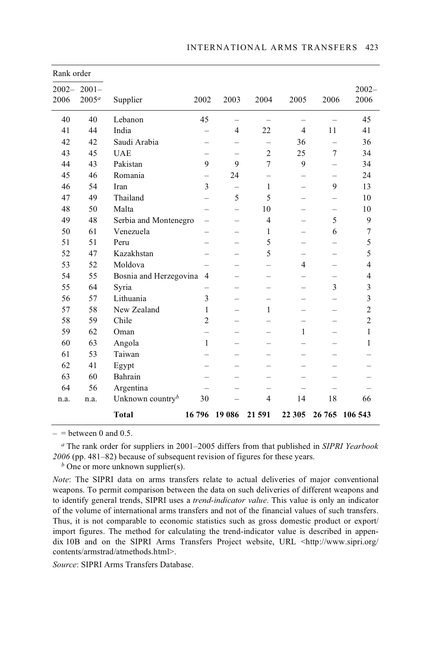| Rank order       |                               |                              |                          |                          |                          |                          |                          |                         |
|------------------|-------------------------------|------------------------------|--------------------------|--------------------------|--------------------------|--------------------------|--------------------------|-------------------------|
| $2002 -$<br>2006 | $2001 -$<br>2005 <sup>a</sup> | Supplier                     | 2002                     | 2003                     | 2004                     | 2005                     | 2006                     | $2002 -$<br>2006        |
| 40               | 40                            | Lebanon                      | 45                       |                          |                          |                          |                          | 45                      |
| 41               | 44                            | India                        | $\overline{\phantom{0}}$ | $\overline{4}$           | 22                       | $\overline{4}$           | 11                       | 41                      |
| 42               | 42                            | Saudi Arabia                 |                          |                          |                          | 36                       |                          | 36                      |
| 43               | 45                            | <b>UAE</b>                   |                          |                          | $\overline{2}$           | 25                       | $\tau$                   | 34                      |
| 44               | 43                            | Pakistan                     | 9                        | 9                        | $\overline{7}$           | 9                        | —                        | 34                      |
| 45               | 46                            | Romania                      | $\overline{\phantom{0}}$ | 24                       | $\overline{\phantom{0}}$ | $\overline{\phantom{0}}$ |                          | 24                      |
| 46               | 54                            | Iran                         | 3                        |                          | $\mathbf{1}$             |                          | 9                        | 13                      |
| 47               | 49                            | Thailand                     | $\overline{\phantom{0}}$ | 5                        | 5                        | $\overline{\phantom{0}}$ | $\overline{\phantom{0}}$ | 10                      |
| 48               | 50                            | Malta                        |                          |                          | 10                       |                          | $\overline{\phantom{0}}$ | 10                      |
| 49               | 48                            | Serbia and Montenegro        | $\qquad \qquad -$        |                          | $\overline{4}$           |                          | 5                        | 9                       |
| 50               | 61                            | Venezuela                    | -                        | $\overline{\phantom{0}}$ | 1                        | $\overline{\phantom{0}}$ | 6                        | $\sqrt{ }$              |
| 51               | 51                            | Peru                         | $\overline{\phantom{0}}$ |                          | 5                        |                          |                          | 5                       |
| 52               | 47                            | Kazakhstan                   |                          |                          | 5                        |                          |                          | 5                       |
| 53               | 52                            | Moldova                      |                          |                          |                          | $\overline{4}$           |                          | $\overline{4}$          |
| 54               | 55                            | Bosnia and Herzegovina       | 4                        |                          |                          |                          |                          | $\overline{4}$          |
| 55               | 64                            | Syria                        |                          |                          | $\overline{\phantom{0}}$ | -                        | 3                        | 3                       |
| 56               | 57                            | Lithuania                    | 3                        |                          |                          |                          |                          | $\overline{\mathbf{3}}$ |
| 57               | 58                            | New Zealand                  | 1                        |                          | 1                        |                          |                          | $\overline{c}$          |
| 58               | 59                            | Chile                        | $\overline{c}$           |                          |                          |                          |                          | $\overline{2}$          |
| 59               | 62                            | Oman                         |                          |                          |                          | $\mathbf{1}$             |                          | $\mathbf{1}$            |
| 60               | 63                            | Angola                       | $\mathbf{1}$             |                          |                          |                          |                          | $\mathbf{1}$            |
| 61               | 53                            | Taiwan                       |                          |                          |                          | $\overline{\phantom{0}}$ |                          |                         |
| 62               | 41                            | Egypt                        |                          |                          |                          |                          |                          |                         |
| 63               | 60                            | Bahrain                      |                          |                          |                          |                          |                          |                         |
| 64               | 56                            | Argentina                    |                          |                          |                          |                          |                          |                         |
| n.a.             | n.a.                          | Unknown country <sup>b</sup> | 30                       |                          | $\overline{4}$           | 14                       | 18                       | 66                      |
|                  |                               | <b>Total</b>                 | 16796                    | 19 08 6                  | 21 591                   | 22 305                   | 26 765                   | 106 543                 |

 $=$  between 0 and 0.5.

*<sup>a</sup>* The rank order for suppliers in 2001–2005 differs from that published in *SIPRI Yearbook 2006* (pp. 481–82) because of subsequent revision of figures for these years.

*b* One or more unknown supplier(s).

*Note*: The SIPRI data on arms transfers relate to actual deliveries of major conventional weapons. To permit comparison between the data on such deliveries of different weapons and to identify general trends, SIPRI uses a *trend-indicator value*. This value is only an indicator of the volume of international arms transfers and not of the financial values of such transfers. Thus, it is not comparable to economic statistics such as gross domestic product or export/ import figures. The method for calculating the trend-indicator value is described in appendix 10B and on the SIPRI Arms Transfers Project website, URL <http://www.sipri.org/ contents/armstrad/atmethods.html>.

*Source*: SIPRI Arms Transfers Database.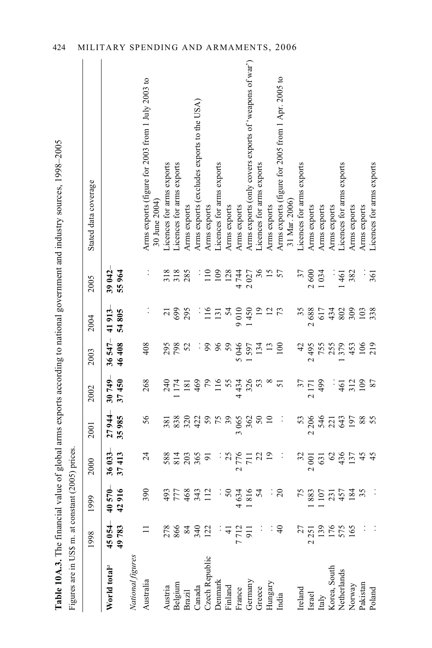|  |                      | Ì<br>l<br>$277240$ and $2440$ $240$<br>)<br>}<br>$\ddot{\phantom{a}}$<br>able $10A.3$ . The $\degree$ | <b>CARL SAG CAR THE LAB</b> |
|--|----------------------|-------------------------------------------------------------------------------------------------------|-----------------------------|
|  | <b>V</b> to cot Cost |                                                                                                       |                             |
|  |                      |                                                                                                       |                             |
|  |                      |                                                                                                       |                             |
|  |                      |                                                                                                       |                             |
|  |                      |                                                                                                       |                             |
|  |                      |                                                                                                       |                             |

| Figures are in US\$ m. at constant (2005) prices |                |                                                          |                      |                                 |                                           |                                 |                          |                          | Table 10A.3. The financial value of global arms exports according to national government and industry sources, 1998–2005 |
|--------------------------------------------------|----------------|----------------------------------------------------------|----------------------|---------------------------------|-------------------------------------------|---------------------------------|--------------------------|--------------------------|--------------------------------------------------------------------------------------------------------------------------|
|                                                  | 1998           | 1999                                                     | 2000                 | 2001                            | 2002                                      | 2003                            | 2004                     | 2005                     | Stated data coverage                                                                                                     |
| World total <sup>a</sup>                         | 45054<br>49783 | 40570-<br>42916                                          | 36 033-<br>37 413    | $27944 -$<br>35985              | $30749 -$<br>37450                        | $36547-$<br>46408               | 805<br>41913<br>24       | $39042 -$<br>55964       |                                                                                                                          |
| National figures                                 |                |                                                          |                      |                                 |                                           |                                 |                          |                          |                                                                                                                          |
| Australia                                        |                | $\mathcal{S}$<br>m                                       | 24                   | 56                              | 268                                       | 408                             |                          |                          | Arms exports (figure for 2003 from 1 July 2003 to<br>30 June 2004)                                                       |
| Austria                                          | 278            | 93                                                       | 588                  | 381                             | 240                                       |                                 | $\overline{c}$           |                          | Licences for arms exports                                                                                                |
| Belgium                                          | 866            |                                                          |                      | 838                             | 174                                       | 295                             | 699                      | 318                      | Licences for arms exports                                                                                                |
| Brazil                                           | 84             | 777<br>468                                               | $\frac{14}{203}$     | $320$<br>422                    |                                           | 52                              | 295                      | 285                      | Arms exports                                                                                                             |
| Canada                                           | 340            | 343                                                      |                      |                                 |                                           |                                 |                          | ÷,                       | Arms exports (excludes exports to the USA)                                                                               |
| Czech Republic                                   | 122            | 112                                                      |                      |                                 |                                           |                                 | 116                      | 110                      | Arms exports                                                                                                             |
| Denmark                                          |                |                                                          |                      |                                 | $\frac{181}{40}$<br>79<br>11<br>55        | 38.5                            | 131                      |                          | Licences for arms exports                                                                                                |
| Finland                                          | $\frac{4}{3}$  |                                                          |                      |                                 |                                           | 59                              | 54                       | 109                      | Arms exports                                                                                                             |
| France                                           | 7712           |                                                          | $\mathbf{\sim}$      |                                 | 434                                       | $\sigma$                        | 9010                     |                          | Arms exports                                                                                                             |
| Germany                                          | 911            | $\begin{array}{r} .50 \\ 50 \\ 4634 \\ 1816 \end{array}$ |                      |                                 | 326                                       | 3<br>597<br>134                 |                          | $\mathbf{\Omega}$        | Arms exports (only covers exports of 'weapons of war')                                                                   |
| Greece                                           |                | 54                                                       | 377729               |                                 | 53                                        |                                 | $450$<br>$127$<br>$73$   | 142<br>027<br>144<br>144 | Licences for arms exports                                                                                                |
| Hungary                                          |                |                                                          |                      |                                 | $\infty$                                  |                                 |                          |                          | Arms exports                                                                                                             |
| India                                            | $\overline{4}$ | : $\frac{1}{2}$                                          | $\ddot{\phantom{1}}$ | $\ddot{\phantom{0}}$            | 51                                        | $\frac{13}{100}$                |                          |                          | Arms exports (figure for 2005 from 1 Apr. 2005 to<br>31 Mar. 2006)                                                       |
| Ireland                                          |                |                                                          |                      | 53                              |                                           | 42                              | 35                       |                          | Licences for arms exports                                                                                                |
| Israel                                           | 2251           | 5800772485<br>∞                                          | $32$<br>2001         | 206<br>$\overline{\mathcal{C}}$ | $37$<br>2 1 7 1                           | 495<br>$\overline{\mathcal{C}}$ | 688<br>$\mathbf{\Omega}$ | 37<br>2600               | Arms exports                                                                                                             |
| Italy                                            | 139            |                                                          |                      |                                 | 499                                       |                                 | 617                      | 034                      | Arms exports                                                                                                             |
| Korea, South                                     | 176            |                                                          |                      | 546                             | $\ddot{\phantom{0}}$                      | 755                             | 434                      | ÷,                       | Arms exports                                                                                                             |
| Netherlands                                      | 575            |                                                          | 63474                | 643                             | 461                                       | 379                             | 802                      | 461                      | Licences for arms exports                                                                                                |
| Norway                                           |                |                                                          |                      | 197                             | $\begin{array}{c} 312 \\ 109 \end{array}$ |                                 | 309                      | 382                      | Arms exports                                                                                                             |
| Pakistan                                         |                |                                                          |                      |                                 |                                           | 453<br>106                      | 103                      |                          | Arms exports                                                                                                             |
| Poland                                           |                |                                                          |                      | 55                              | 87                                        | 219                             | 338                      | 361                      | Licences for arms exports                                                                                                |